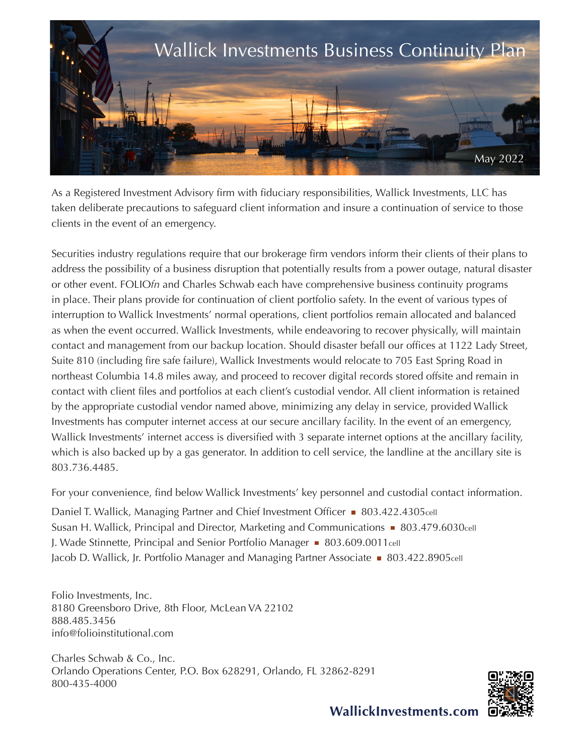

As a Registered Investment Advisory firm with fiduciary responsibilities, Wallick Investments, LLC has taken deliberate precautions to safeguard client information and insure a continuation of service to those clients in the event of an emergency.

Securities industry regulations require that our brokerage firm vendors inform their clients of their plans to address the possibility of a business disruption that potentially results from a power outage, natural disaster or other event. FOLIO*fn* and Charles Schwab each have comprehensive business continuity programs in place. Their plans provide for continuation of client portfolio safety. In the event of various types of interruption to Wallick Investments' normal operations, client portfolios remain allocated and balanced as when the event occurred. Wallick Investments, while endeavoring to recover physically, will maintain contact and management from our backup location. Should disaster befall our offices at 1122 Lady Street, Suite 810 (including fire safe failure), Wallick Investments would relocate to 705 East Spring Road in northeast Columbia 14.8 miles away, and proceed to recover digital records stored offsite and remain in contact with client files and portfolios at each client's custodial vendor. All client information is retained by the appropriate custodial vendor named above, minimizing any delay in service, provided Wallick Investments has computer internet access at our secure ancillary facility. In the event of an emergency, Wallick Investments' internet access is diversified with 3 separate internet options at the ancillary facility, which is also backed up by a gas generator. In addition to cell service, the landline at the ancillary site is 803.736.4485.

For your convenience, find below Wallick Investments' key personnel and custodial contact information.

Daniel T. Wallick, Managing Partner and Chief Investment Officer • 803.422.4305cell Susan H. Wallick, Principal and Director, Marketing and Communications **603.479.6030cell** J. Wade Stinnette, Principal and Senior Portfolio Manager **803.609.0011**cell Jacob D. Wallick, Jr. Portfolio Manager and Managing Partner Associate **803.422.8905cell** 

Folio Investments, Inc. 8180 Greensboro Drive, 8th Floor, McLean VA 22102 888.485.3456 info@folioinstitutional.com

Charles Schwab & Co., Inc. Orlando Operations Center, P.O. Box 628291, Orlando, FL 32862-8291 800-435-4000



WallickInvestments.com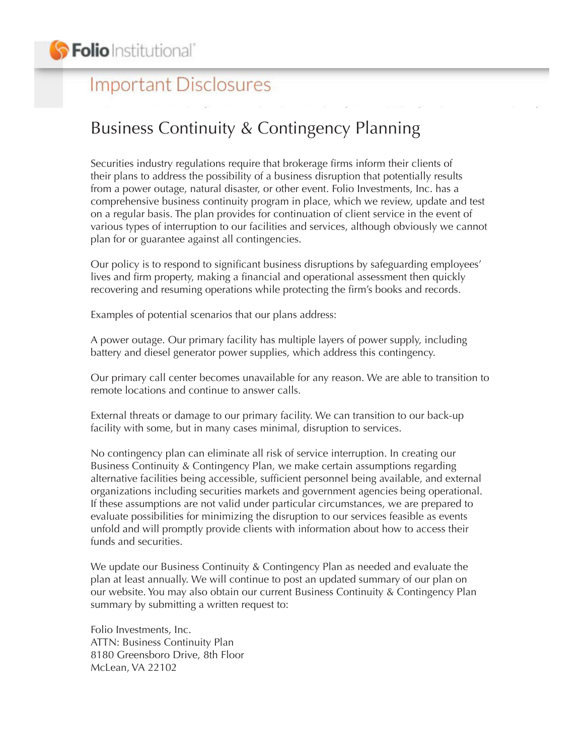## **Important Disclosures**

## Business Continuity & Contingency Planning

Securities industry regulations require that brokerage firms inform their clients of their plans to address the possibility of a business disruption that potentially results from a power outage, natural disaster, or other event. Folio Investments, Inc. has a comprehensive business continuity program in place, which we review, update and test on a regular basis. The plan provides for continuation of client service in the event of various types of interruption to our facilities and services, although obviously we cannot plan for or guarantee against all contingencies.

Our policy is to respond to significant business disruptions by safeguarding employees' lives and firm property, making a financial and operational assessment then quickly recovering and resuming operations while protecting the firm's books and records.

Examples of potential scenarios that our plans address:

A power outage. Our primary facility has multiple layers of power supply, including battery and diesel generator power supplies, which address this contingency.

Our primary call center becomes unavailable for any reason. We are able to transition to remote locations and continue to answer calls.

External threats or damage to our primary facility. We can transition to our back-up facility with some, but in many cases minimal, disruption to services.

No contingency plan can eliminate all risk of service interruption. In creating our Business Continuity & Contingency Plan, we make certain assumptions regarding alternative facilities being accessible, sufficient personnel being available, and external organizations including securities markets and government agencies being operational. If these assumptions are not valid under particular circumstances, we are prepared to evaluate possibilities for minimizing the disruption to our services feasible as events unfold and will promptly provide clients with information about how to access their funds and securities.

We update our Business Continuity & Contingency Plan as needed and evaluate the plan at least annually. We will continue to post an updated summary of our plan on our website. You may also obtain our current Business Continuity & Contingency Plan summary by submitting a written request to:

Folio Investments, Inc. ATTN: Business Continuity Plan 8180 Greensboro Drive, 8th Floor McLean, VA 22102